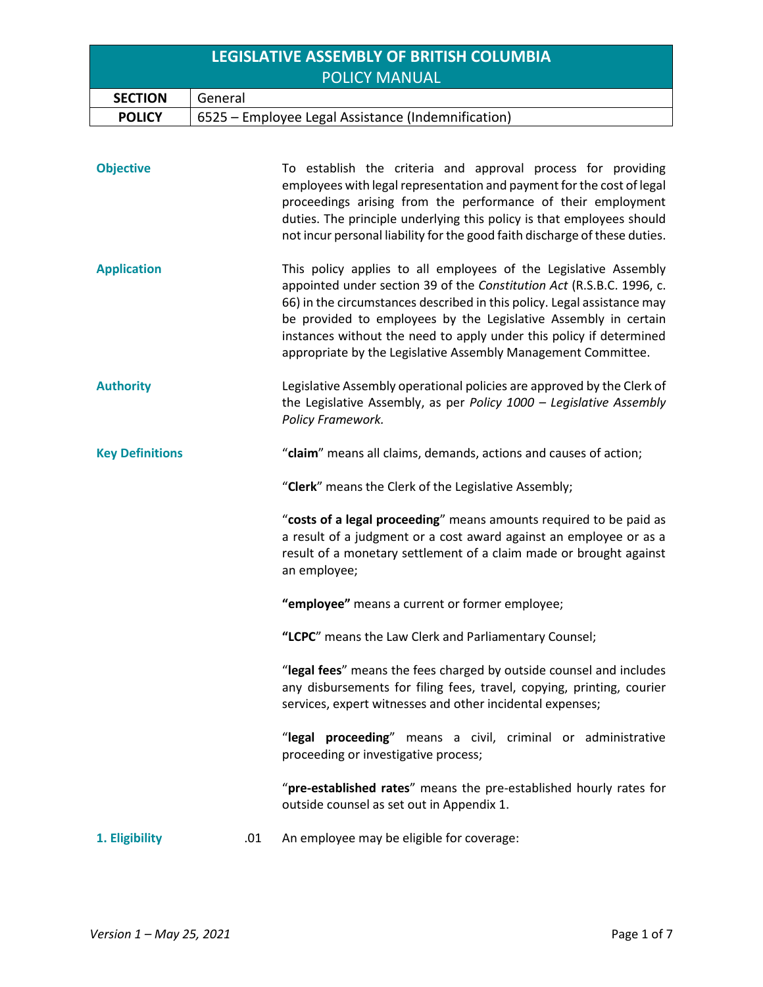| LEGISLATIVE ASSEMBLY OF BRITISH COLUMBIA |                                                    |  |
|------------------------------------------|----------------------------------------------------|--|
| <b>POLICY MANUAL</b>                     |                                                    |  |
| <b>SECTION</b>                           | General                                            |  |
| <b>POLICY</b>                            | 6525 – Employee Legal Assistance (Indemnification) |  |

| <b>Objective</b>       |     | To establish the criteria and approval process for providing<br>employees with legal representation and payment for the cost of legal<br>proceedings arising from the performance of their employment<br>duties. The principle underlying this policy is that employees should<br>not incur personal liability for the good faith discharge of these duties.                                                                    |  |
|------------------------|-----|---------------------------------------------------------------------------------------------------------------------------------------------------------------------------------------------------------------------------------------------------------------------------------------------------------------------------------------------------------------------------------------------------------------------------------|--|
| <b>Application</b>     |     | This policy applies to all employees of the Legislative Assembly<br>appointed under section 39 of the Constitution Act (R.S.B.C. 1996, c.<br>66) in the circumstances described in this policy. Legal assistance may<br>be provided to employees by the Legislative Assembly in certain<br>instances without the need to apply under this policy if determined<br>appropriate by the Legislative Assembly Management Committee. |  |
| <b>Authority</b>       |     | Legislative Assembly operational policies are approved by the Clerk of<br>the Legislative Assembly, as per Policy 1000 - Legislative Assembly<br>Policy Framework.                                                                                                                                                                                                                                                              |  |
| <b>Key Definitions</b> |     | "claim" means all claims, demands, actions and causes of action;                                                                                                                                                                                                                                                                                                                                                                |  |
|                        |     | "Clerk" means the Clerk of the Legislative Assembly;                                                                                                                                                                                                                                                                                                                                                                            |  |
|                        |     | "costs of a legal proceeding" means amounts required to be paid as<br>a result of a judgment or a cost award against an employee or as a<br>result of a monetary settlement of a claim made or brought against<br>an employee;                                                                                                                                                                                                  |  |
|                        |     | "employee" means a current or former employee;                                                                                                                                                                                                                                                                                                                                                                                  |  |
|                        |     | "LCPC" means the Law Clerk and Parliamentary Counsel;                                                                                                                                                                                                                                                                                                                                                                           |  |
|                        |     | "legal fees" means the fees charged by outside counsel and includes<br>any disbursements for filing fees, travel, copying, printing, courier<br>services, expert witnesses and other incidental expenses;                                                                                                                                                                                                                       |  |
|                        |     | "legal proceeding" means a civil, criminal or administrative<br>proceeding or investigative process;                                                                                                                                                                                                                                                                                                                            |  |
|                        |     | "pre-established rates" means the pre-established hourly rates for<br>outside counsel as set out in Appendix 1.                                                                                                                                                                                                                                                                                                                 |  |
| 1. Eligibility         | .01 | An employee may be eligible for coverage:                                                                                                                                                                                                                                                                                                                                                                                       |  |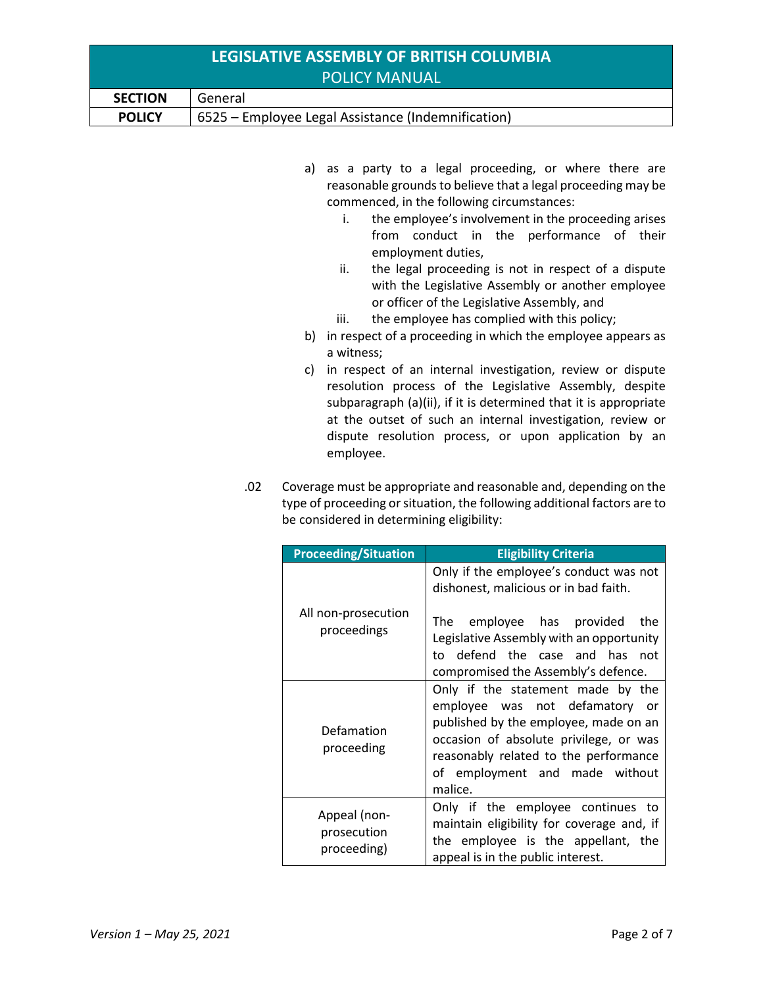| LEGISLATIVE ASSEMBLY OF BRITISH COLUMBIA |                                                    |  |
|------------------------------------------|----------------------------------------------------|--|
| <b>POLICY MANUAL</b>                     |                                                    |  |
| <b>SECTION</b>                           | General                                            |  |
| <b>POLICY</b>                            | 6525 – Employee Legal Assistance (Indemnification) |  |

- a) as a party to a legal proceeding, or where there are reasonable grounds to believe that a legal proceeding may be commenced, in the following circumstances:
	- i. the employee's involvement in the proceeding arises from conduct in the performance of their employment duties,
	- ii. the legal proceeding is not in respect of a dispute with the Legislative Assembly or another employee or officer of the Legislative Assembly, and
	- iii. the employee has complied with this policy;
- b) in respect of a proceeding in which the employee appears as a witness;
- c) in respect of an internal investigation, review or dispute resolution process of the Legislative Assembly, despite subparagraph (a)(ii), if it is determined that it is appropriate at the outset of such an internal investigation, review or dispute resolution process, or upon application by an employee.
- .02 Coverage must be appropriate and reasonable and, depending on the type of proceeding or situation, the following additional factors are to be considered in determining eligibility:

| <b>Proceeding/Situation</b>                | <b>Eligibility Criteria</b>                                                                                                                                                                                                                       |
|--------------------------------------------|---------------------------------------------------------------------------------------------------------------------------------------------------------------------------------------------------------------------------------------------------|
|                                            | Only if the employee's conduct was not<br>dishonest, malicious or in bad faith.                                                                                                                                                                   |
| All non-prosecution<br>proceedings         | employee has provided<br>The<br>the<br>Legislative Assembly with an opportunity<br>to defend the case and has not<br>compromised the Assembly's defence.                                                                                          |
| Defamation<br>proceeding                   | Only if the statement made by the<br>employee was not defamatory<br>- or<br>published by the employee, made on an<br>occasion of absolute privilege, or was<br>reasonably related to the performance<br>of employment and made without<br>malice. |
| Appeal (non-<br>prosecution<br>proceeding) | Only if the employee continues to<br>maintain eligibility for coverage and, if<br>the employee is the appellant, the<br>appeal is in the public interest.                                                                                         |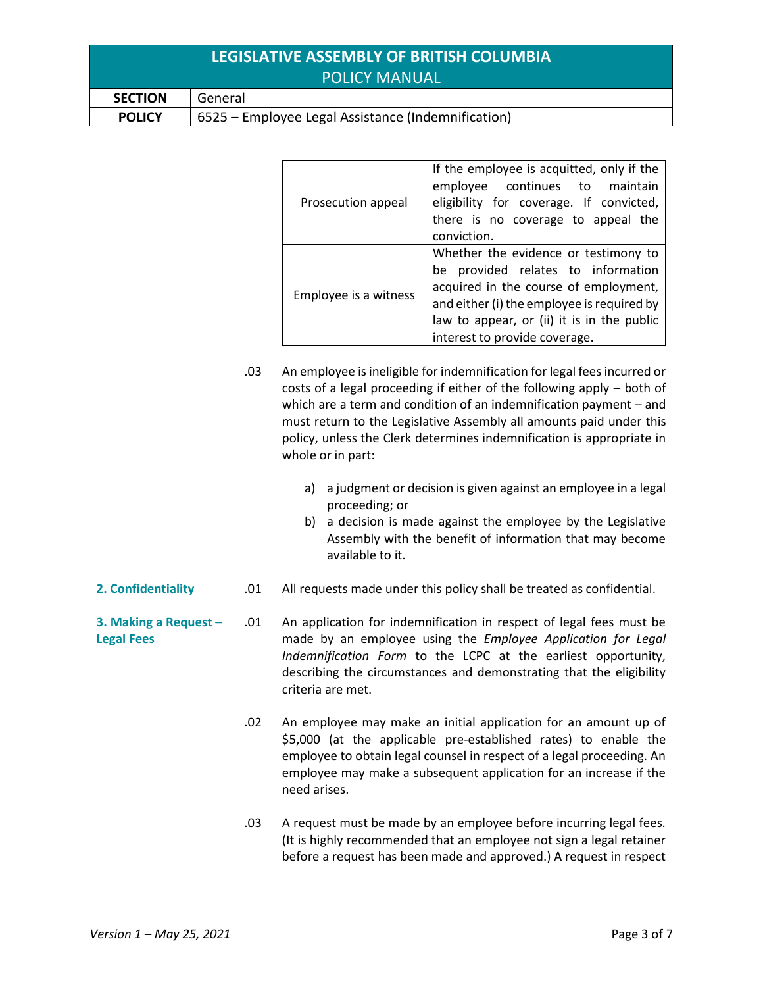| LEGISLATIVE ASSEMBLY OF BRITISH COLUMBIA |                                                    |  |
|------------------------------------------|----------------------------------------------------|--|
|                                          | <b>POLICY MANUAL</b>                               |  |
| <b>SECTION</b>                           | General                                            |  |
| <b>POLICY</b>                            | 6525 – Employee Legal Assistance (Indemnification) |  |
|                                          |                                                    |  |

|                       | If the employee is acquitted, only if the  |
|-----------------------|--------------------------------------------|
|                       | employee continues to<br>maintain          |
| Prosecution appeal    | eligibility for coverage. If convicted,    |
|                       | there is no coverage to appeal the         |
|                       | conviction.                                |
|                       | Whether the evidence or testimony to       |
|                       | be provided relates to information         |
|                       | acquired in the course of employment,      |
| Employee is a witness | and either (i) the employee is required by |
|                       | law to appear, or (ii) it is in the public |
|                       | interest to provide coverage.              |

- .03 An employee is ineligible for indemnification for legal fees incurred or costs of a legal proceeding if either of the following apply – both of which are a term and condition of an indemnification payment – and must return to the Legislative Assembly all amounts paid under this policy, unless the Clerk determines indemnification is appropriate in whole or in part:
	- a) a judgment or decision is given against an employee in a legal proceeding; or
	- b) a decision is made against the employee by the Legislative Assembly with the benefit of information that may become available to it.
- **2. Confidentiality** .01 All requests made under this policy shall be treated as confidential.
- **3. Making a Request – Legal Fees** .01 An application for indemnification in respect of legal fees must be made by an employee using the *Employee Application for Legal Indemnification Form* to the LCPC at the earliest opportunity, describing the circumstances and demonstrating that the eligibility criteria are met.
	- .02 An employee may make an initial application for an amount up of \$5,000 (at the applicable pre-established rates) to enable the employee to obtain legal counsel in respect of a legal proceeding. An employee may make a subsequent application for an increase if the need arises.
	- .03 A request must be made by an employee before incurring legal fees. (It is highly recommended that an employee not sign a legal retainer before a request has been made and approved.) A request in respect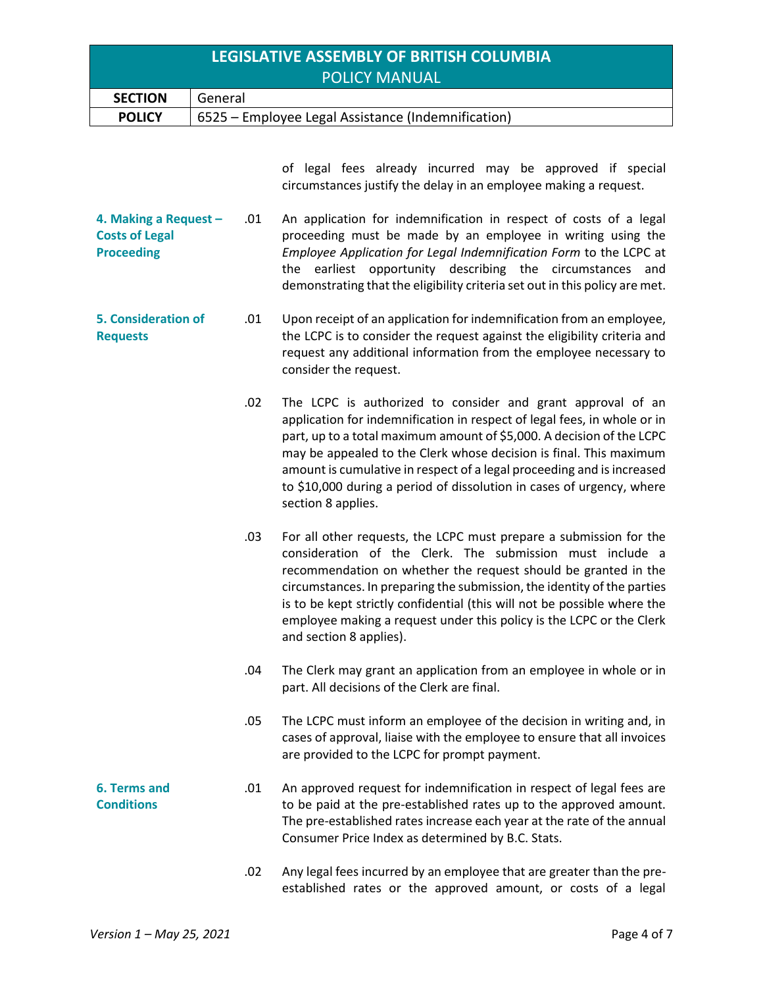| LEGISLATIVE ASSEMBLY OF BRITISH COLUMBIA |                                                    |  |
|------------------------------------------|----------------------------------------------------|--|
| <b>POLICY MANUAL</b>                     |                                                    |  |
| <b>SECTION</b>                           | General                                            |  |
| <b>POLICY</b>                            | 6525 – Employee Legal Assistance (Indemnification) |  |

of legal fees already incurred may be approved if special circumstances justify the delay in an employee making a request.

**4. Making a Request – Costs of Legal Proceeding** .01 An application for indemnification in respect of costs of a legal proceeding must be made by an employee in writing using the *Employee Application for Legal Indemnification Form* to the LCPC at the earliest opportunity describing the circumstances and demonstrating that the eligibility criteria set out in this policy are met.

- **5. Consideration of Requests** .01 Upon receipt of an application for indemnification from an employee, the LCPC is to consider the request against the eligibility criteria and request any additional information from the employee necessary to consider the request.
	- .02 The LCPC is authorized to consider and grant approval of an application for indemnification in respect of legal fees, in whole or in part, up to a total maximum amount of \$5,000. A decision of the LCPC may be appealed to the Clerk whose decision is final. This maximum amount is cumulative in respect of a legal proceeding and is increased to \$10,000 during a period of dissolution in cases of urgency, where section 8 applies.
	- .03 For all other requests, the LCPC must prepare a submission for the consideration of the Clerk. The submission must include a recommendation on whether the request should be granted in the circumstances. In preparing the submission, the identity of the parties is to be kept strictly confidential (this will not be possible where the employee making a request under this policy is the LCPC or the Clerk and section 8 applies).
	- .04 The Clerk may grant an application from an employee in whole or in part. All decisions of the Clerk are final.
	- .05 The LCPC must inform an employee of the decision in writing and, in cases of approval, liaise with the employee to ensure that all invoices are provided to the LCPC for prompt payment.
- **6. Terms and Conditions** .01 An approved request for indemnification in respect of legal fees are to be paid at the pre-established rates up to the approved amount. The pre-established rates increase each year at the rate of the annual Consumer Price Index as determined by B.C. Stats.
	- .02 Any legal fees incurred by an employee that are greater than the preestablished rates or the approved amount, or costs of a legal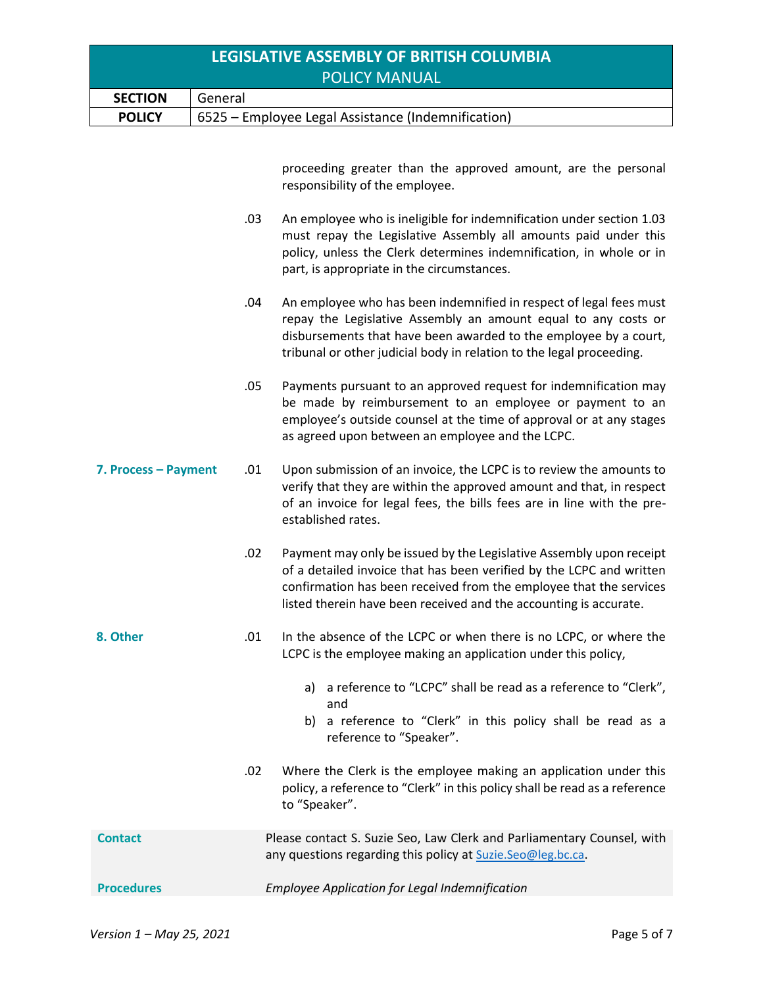| LEGISLATIVE ASSEMBLY OF BRITISH COLUMBIA |                                                    |  |
|------------------------------------------|----------------------------------------------------|--|
| <b>POLICY MANUAL</b>                     |                                                    |  |
| <b>SECTION</b>                           | General                                            |  |
| <b>POLICY</b>                            | 6525 – Employee Legal Assistance (Indemnification) |  |

proceeding greater than the approved amount, are the personal responsibility of the employee.

- .03 An employee who is ineligible for indemnification under section 1.03 must repay the Legislative Assembly all amounts paid under this policy, unless the Clerk determines indemnification, in whole or in part, is appropriate in the circumstances.
- .04 An employee who has been indemnified in respect of legal fees must repay the Legislative Assembly an amount equal to any costs or disbursements that have been awarded to the employee by a court, tribunal or other judicial body in relation to the legal proceeding.
- .05 Payments pursuant to an approved request for indemnification may be made by reimbursement to an employee or payment to an employee's outside counsel at the time of approval or at any stages as agreed upon between an employee and the LCPC.
- **7. Process – Payment** .01 Upon submission of an invoice, the LCPC is to review the amounts to verify that they are within the approved amount and that, in respect of an invoice for legal fees, the bills fees are in line with the preestablished rates.
	- .02 Payment may only be issued by the Legislative Assembly upon receipt of a detailed invoice that has been verified by the LCPC and written confirmation has been received from the employee that the services listed therein have been received and the accounting is accurate.
- **8. Other** .01 In the absence of the LCPC or when there is no LCPC, or where the LCPC is the employee making an application under this policy,
	- a) a reference to "LCPC" shall be read as a reference to "Clerk", and
	- b) a reference to "Clerk" in this policy shall be read as a reference to "Speaker".
	- .02 Where the Clerk is the employee making an application under this policy, a reference to "Clerk" in this policy shall be read as a reference to "Speaker".
- **Contact** Please contact S. Suzie Seo, Law Clerk and Parliamentary Counsel, with any questions regarding this policy at [Suzie.Seo@leg.bc.ca](mailto:Suzie.Seo@leg.bc.ca).

**Procedures** *Employee Application for Legal Indemnification*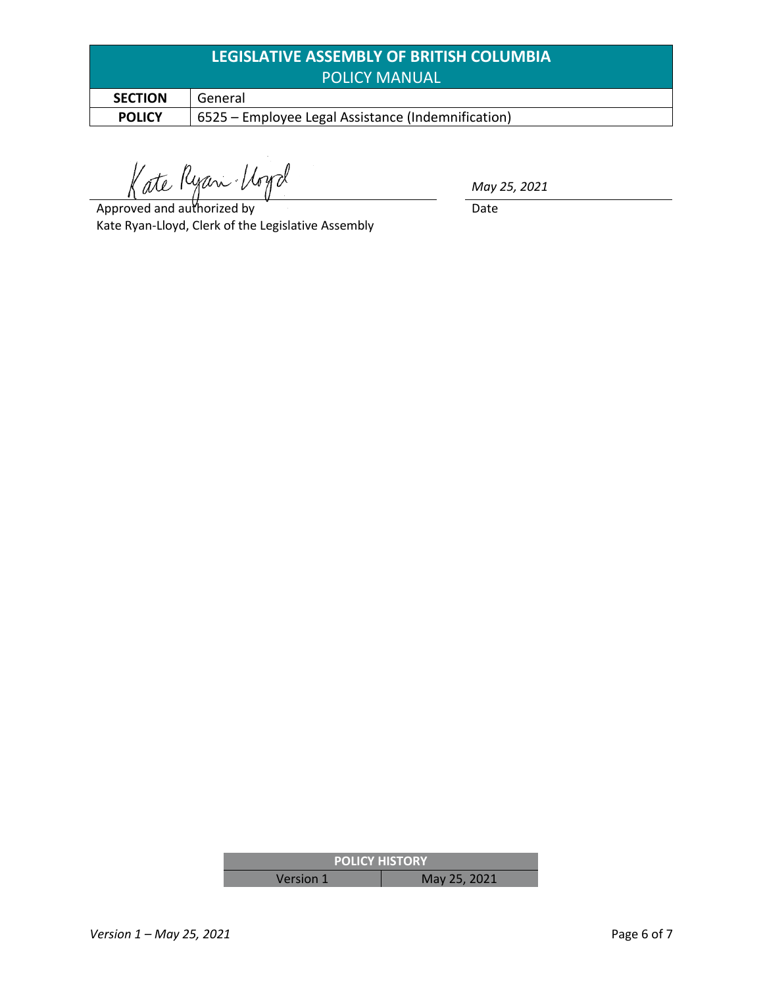| LEGISLATIVE ASSEMBLY OF BRITISH COLUMBIA |                                                    |  |
|------------------------------------------|----------------------------------------------------|--|
| <b>POLICY MANUAL</b>                     |                                                    |  |
| <b>SECTION</b>                           | General                                            |  |
| <b>POLICY</b>                            | 6525 – Employee Legal Assistance (Indemnification) |  |

Kate Ryan Voyd

*May 25, 2021*

Date

Approved and authorized by Kate Ryan-Lloyd, Clerk of the Legislative Assembly

| <b><i>FOLICY HISTORY</i></b> |              |  |
|------------------------------|--------------|--|
| Version 1                    | May 25, 2021 |  |